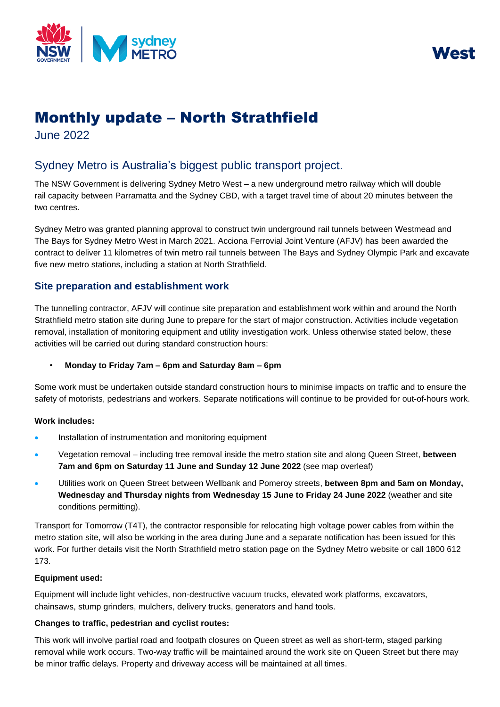



# Monthly update – North Strathfield

June 2022

## Sydney Metro is Australia's biggest public transport project.

The NSW Government is delivering Sydney Metro West – a new underground metro railway which will double rail capacity between Parramatta and the Sydney CBD, with a target travel time of about 20 minutes between the two centres.

Sydney Metro was granted planning approval to construct twin underground rail tunnels between Westmead and The Bays for Sydney Metro West in March 2021. Acciona Ferrovial Joint Venture (AFJV) has been awarded the contract to deliver 11 kilometres of twin metro rail tunnels between The Bays and Sydney Olympic Park and excavate five new metro stations, including a station at North Strathfield.

### **Site preparation and establishment work**

The tunnelling contractor, AFJV will continue site preparation and establishment work within and around the North Strathfield metro station site during June to prepare for the start of major construction. Activities include vegetation removal, installation of monitoring equipment and utility investigation work. Unless otherwise stated below, these activities will be carried out during standard construction hours:

#### • **Monday to Friday 7am – 6pm and Saturday 8am – 6pm**

Some work must be undertaken outside standard construction hours to minimise impacts on traffic and to ensure the safety of motorists, pedestrians and workers. Separate notifications will continue to be provided for out-of-hours work.

#### **Work includes:**

- Installation of instrumentation and monitoring equipment
- Vegetation removal including tree removal inside the metro station site and along Queen Street, **between 7am and 6pm on Saturday 11 June and Sunday 12 June 2022** (see map overleaf)
- Utilities work on Queen Street between Wellbank and Pomeroy streets, **between 8pm and 5am on Monday, Wednesday and Thursday nights from Wednesday 15 June to Friday 24 June 2022** (weather and site conditions permitting).

Transport for Tomorrow (T4T), the contractor responsible for relocating high voltage power cables from within the metro station site, will also be working in the area during June and a separate notification has been issued for this work. For further details visit the North Strathfield metro station page on the Sydney Metro website or call 1800 612 173.

#### **Equipment used:**

Equipment will include light vehicles, non-destructive vacuum trucks, elevated work platforms, excavators, chainsaws, stump grinders, mulchers, delivery trucks, generators and hand tools.

#### **Changes to traffic, pedestrian and cyclist routes:**

This work will involve partial road and footpath closures on Queen street as well as short-term, staged parking removal while work occurs. Two-way traffic will be maintained around the work site on Queen Street but there may be minor traffic delays. Property and driveway access will be maintained at all times.